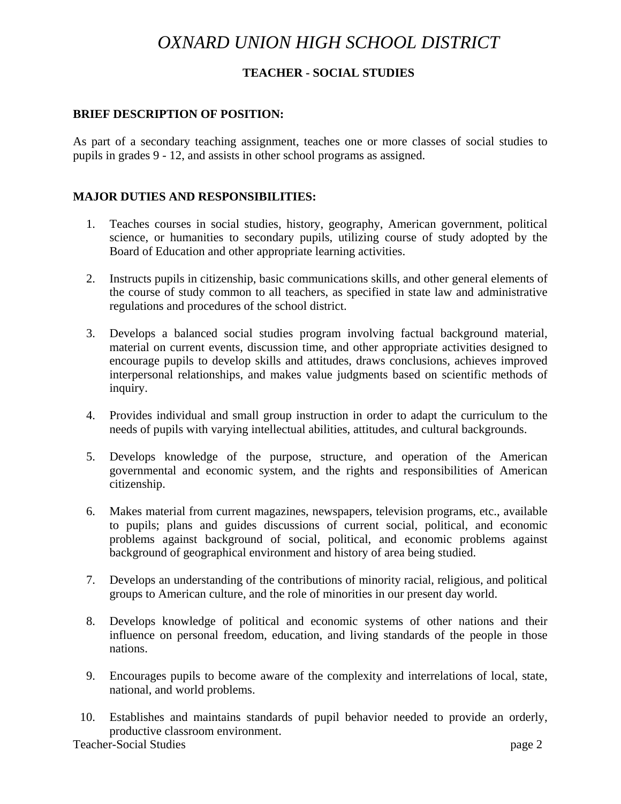# *OXNARD UNION HIGH SCHOOL DISTRICT*

# **TEACHER - SOCIAL STUDIES**

#### **BRIEF DESCRIPTION OF POSITION:**

As part of a secondary teaching assignment, teaches one or more classes of social studies to pupils in grades 9 - 12, and assists in other school programs as assigned.

### **MAJOR DUTIES AND RESPONSIBILITIES:**

- 1. Teaches courses in social studies, history, geography, American government, political science, or humanities to secondary pupils, utilizing course of study adopted by the Board of Education and other appropriate learning activities.
- 2. Instructs pupils in citizenship, basic communications skills, and other general elements of the course of study common to all teachers, as specified in state law and administrative regulations and procedures of the school district.
- 3. Develops a balanced social studies program involving factual background material, material on current events, discussion time, and other appropriate activities designed to encourage pupils to develop skills and attitudes, draws conclusions, achieves improved interpersonal relationships, and makes value judgments based on scientific methods of inquiry.
- 4. Provides individual and small group instruction in order to adapt the curriculum to the needs of pupils with varying intellectual abilities, attitudes, and cultural backgrounds.
- 5. Develops knowledge of the purpose, structure, and operation of the American governmental and economic system, and the rights and responsibilities of American citizenship.
- 6. Makes material from current magazines, newspapers, television programs, etc., available to pupils; plans and guides discussions of current social, political, and economic problems against background of social, political, and economic problems against background of geographical environment and history of area being studied.
- 7. Develops an understanding of the contributions of minority racial, religious, and political groups to American culture, and the role of minorities in our present day world.
- 8. Develops knowledge of political and economic systems of other nations and their influence on personal freedom, education, and living standards of the people in those nations.
- 9. Encourages pupils to become aware of the complexity and interrelations of local, state, national, and world problems.
- 10. Establishes and maintains standards of pupil behavior needed to provide an orderly, productive classroom environment.

Teacher-Social Studies page 2